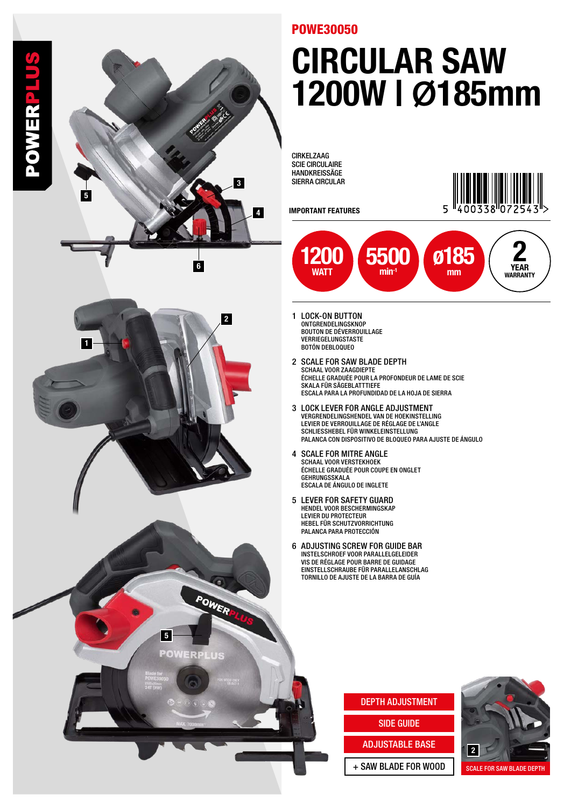

#### POWE30050

## CIRCULAR SAW 1200W | **Ø**185mm

CIRKELZAAG SCIE CIRCULAIRE HANDKREISSÄGE SIERRA CIRCULAR

IMPORTANT FEATURES





- 1 LOCK-ON BUTTON ONTGRENDELINGSKNOP BOUTON DE DÉVERROUILLAGE VERRIEGELUNGSTASTE BOTÓN DEBLOQUEO
- 2 SCALE FOR SAW BLADE DEPTH SCHAAL VOOR ZAAGDIEPTE ÉCHELLE GRADUÉE POUR LA PROFONDEUR DE LAME DE SCIE SKALA FÜR SÄGEBLATTTIEFE ESCALA PARA LA PROFUNDIDAD DE LA HOJA DE SIERRA
- 3 LOCK LEVER FOR ANGLE ADJUSTMENT VERGRENDELINGSHENDEL VAN DE HOEKINSTELLING LEVIER DE VERROUILLAGE DE RÉGLAGE DE L'ANGLE SCHLIESSHEBEL FÜR WINKELEINSTELLUNG PALANCA CON DISPOSITIVO DE BLOQUEO PARA AJUSTE DE ÁNGULO
- 4 SCALE FOR MITRE ANGLE SCHAAL VOOR VERSTEKHOEK ÉCHELLE GRADUÉE POUR COUPE EN ONGLET GEHRUNGSSKALA ESCALA DE ÁNGULO DE INGLETE
- 5 LEVER FOR SAFETY GUARD HENDEL VOOR BESCHERMINGSKAP LEVIER DU PROTECTEUR **HEBEL FÜR SCHUTZVORRICHTUNG** PALANCA PARA PROTECCIÓN
- 6 ADJUSTING SCREW FOR GUIDE BAR INSTELSCHROEF VOOR PARALLELGELEIDER VIS DE RÉGLAGE POUR BARRE DE GUIDAGE EINSTELLSCHRAUBE FÜR PARALLELANSCHLAG TORNILLO DE AJUSTE DE LA BARRA DE GUÍA

#### DEPTH ADJUSTMENT

SIDE GUIDE

#### ADJUSTABLE BASE

+ SAW BLADE FOR WOOD